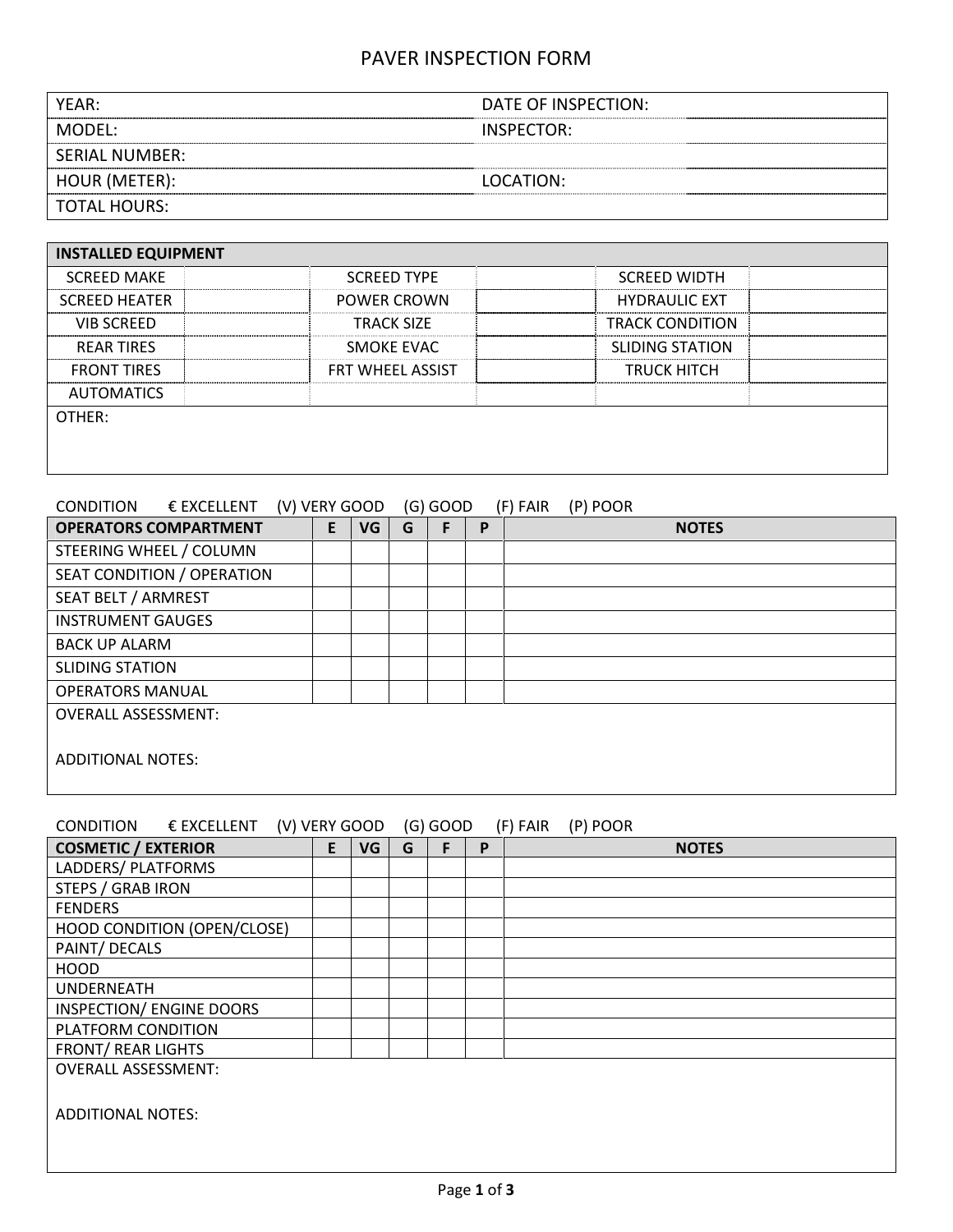# PAVER INSPECTION FORM

| YEAR:          | DATE OF INSPECTION: |
|----------------|---------------------|
| MODFL:         | INSPECTOR:          |
| SERIAL NUMBER: |                     |
| HOUR (METER):  | LOCATION:           |
| TOTAL HOURS:   |                     |

| <b>INSTALLED EQUIPMENT</b> |                         |                        |
|----------------------------|-------------------------|------------------------|
| <b>SCREED MAKE</b>         | <b>SCREED TYPE</b>      | <b>SCREED WIDTH</b>    |
| <b>SCREED HEATER</b>       | <b>POWER CROWN</b>      | <b>HYDRAULIC EXT</b>   |
| <b>VIB SCREED</b>          | <b>TRACK SIZF</b>       | <b>TRACK CONDITION</b> |
| <b>REAR TIRES</b>          | SMOKE EVAC              | <b>SLIDING STATION</b> |
| <b>FRONT TIRES</b>         | <b>FRT WHEEL ASSIST</b> | <b>TRUCK HITCH</b>     |
| <b>AUTOMATICS</b>          |                         |                        |
| OTHER:                     |                         |                        |
|                            |                         |                        |
|                            |                         |                        |

## CONDITION € EXCELLENT (V) VERY GOOD (G) GOOD (F) FAIR (P) POOR

| <b>OPERATORS COMPARTMENT</b> | E. | VG | G | F | P | <b>NOTES</b> |
|------------------------------|----|----|---|---|---|--------------|
| STEERING WHEEL / COLUMN      |    |    |   |   |   |              |
| SEAT CONDITION / OPERATION   |    |    |   |   |   |              |
| SEAT BELT / ARMREST          |    |    |   |   |   |              |
| <b>INSTRUMENT GAUGES</b>     |    |    |   |   |   |              |
| <b>BACK UP ALARM</b>         |    |    |   |   |   |              |
| <b>SLIDING STATION</b>       |    |    |   |   |   |              |
| <b>OPERATORS MANUAL</b>      |    |    |   |   |   |              |
| <b>OVERALL ASSESSMENT:</b>   |    |    |   |   |   |              |
| <b>ADDITIONAL NOTES:</b>     |    |    |   |   |   |              |

| CONDITION                  | $\epsilon$ excellent        |    | (V) VERY GOOD |   | $(G)$ GOOD |   | (P) POOR<br>(F) FAIR |
|----------------------------|-----------------------------|----|---------------|---|------------|---|----------------------|
| <b>COSMETIC / EXTERIOR</b> |                             | E. | VG            | G | F.         | P | <b>NOTES</b>         |
| LADDERS/ PLATFORMS         |                             |    |               |   |            |   |                      |
| <b>STEPS / GRAB IRON</b>   |                             |    |               |   |            |   |                      |
| <b>FENDERS</b>             |                             |    |               |   |            |   |                      |
|                            | HOOD CONDITION (OPEN/CLOSE) |    |               |   |            |   |                      |
| PAINT/ DECALS              |                             |    |               |   |            |   |                      |
| <b>HOOD</b>                |                             |    |               |   |            |   |                      |
| <b>UNDERNEATH</b>          |                             |    |               |   |            |   |                      |
|                            | INSPECTION/ ENGINE DOORS    |    |               |   |            |   |                      |
| PLATFORM CONDITION         |                             |    |               |   |            |   |                      |
| <b>FRONT/ REAR LIGHTS</b>  |                             |    |               |   |            |   |                      |
| <b>OVERALL ASSESSMENT:</b> |                             |    |               |   |            |   |                      |
|                            |                             |    |               |   |            |   |                      |
| <b>ADDITIONAL NOTES:</b>   |                             |    |               |   |            |   |                      |
|                            |                             |    |               |   |            |   |                      |
|                            |                             |    |               |   |            |   |                      |
|                            |                             |    |               |   |            |   |                      |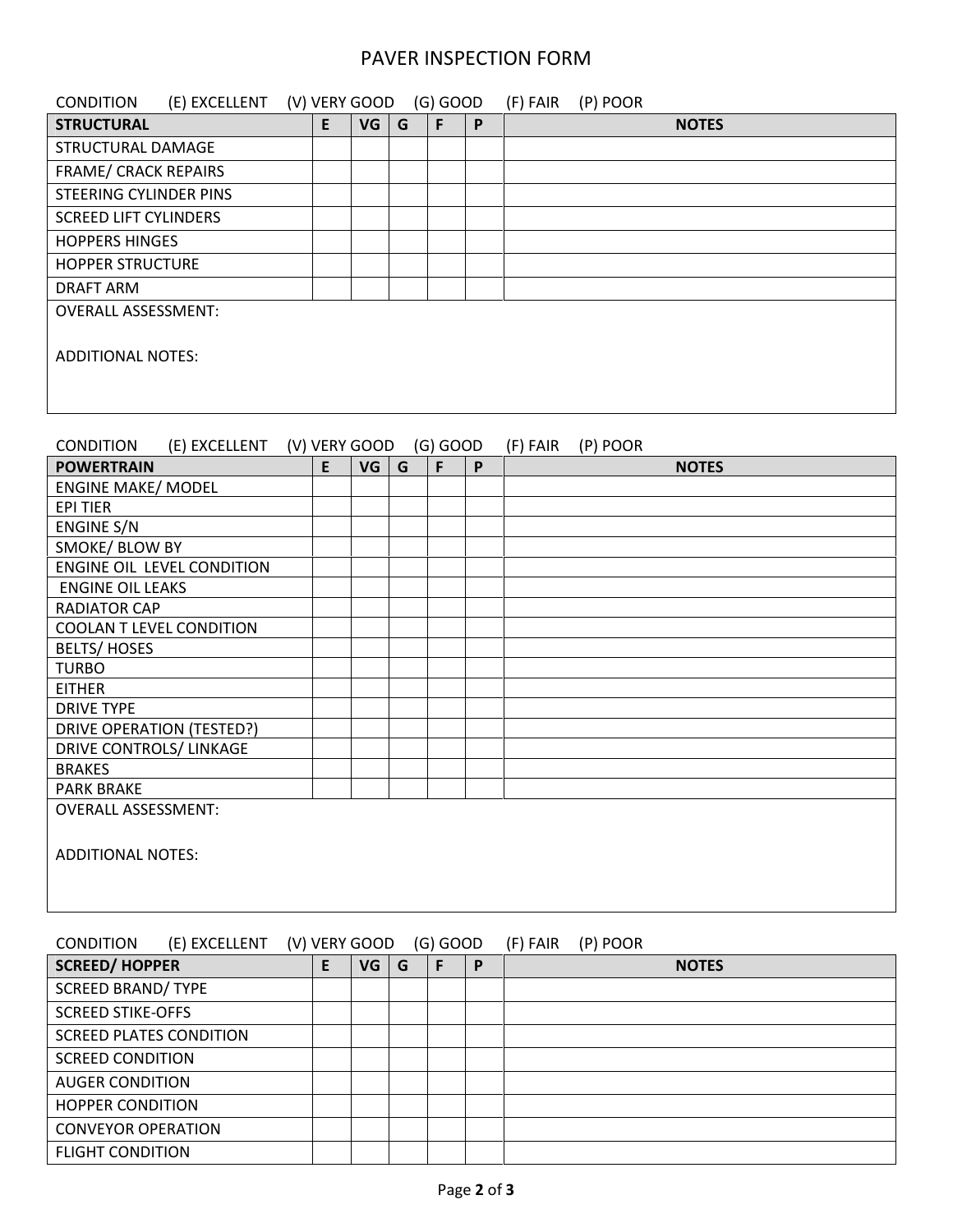#### PAVER INSPECTION FORM

| (E) EXCELLENT<br><b>CONDITION</b> | (V) VERY GOOD |           |   | $(G)$ GOOD |   | (P) POOR<br>(F) FAIR |
|-----------------------------------|---------------|-----------|---|------------|---|----------------------|
| <b>STRUCTURAL</b>                 | E             | VG        | G | F          | P | <b>NOTES</b>         |
| STRUCTURAL DAMAGE                 |               |           |   |            |   |                      |
| <b>FRAME/ CRACK REPAIRS</b>       |               |           |   |            |   |                      |
| <b>STEERING CYLINDER PINS</b>     |               |           |   |            |   |                      |
| <b>SCREED LIFT CYLINDERS</b>      |               |           |   |            |   |                      |
| <b>HOPPERS HINGES</b>             |               |           |   |            |   |                      |
| <b>HOPPER STRUCTURE</b>           |               |           |   |            |   |                      |
| <b>DRAFT ARM</b>                  |               |           |   |            |   |                      |
| <b>OVERALL ASSESSMENT:</b>        |               |           |   |            |   |                      |
|                                   |               |           |   |            |   |                      |
| <b>ADDITIONAL NOTES:</b>          |               |           |   |            |   |                      |
|                                   |               |           |   |            |   |                      |
|                                   |               |           |   |            |   |                      |
|                                   |               |           |   |            |   |                      |
| <b>CONDITION</b><br>(E) EXCELLENT | (V) VERY GOOD |           |   | $(G)$ GOOD |   | (P) POOR<br>(F) FAIR |
| <b>POWERTRAIN</b>                 | E             | <b>VG</b> | G | F          | P | <b>NOTES</b>         |
| <b>ENGINE MAKE/ MODEL</b>         |               |           |   |            |   |                      |
| <b>EPI TIER</b>                   |               |           |   |            |   |                      |
| ENGINE S/N                        |               |           |   |            |   |                      |
| SMOKE/ BLOW BY                    |               |           |   |            |   |                      |
| ENGINE OIL LEVEL CONDITION        |               |           |   |            |   |                      |
| <b>ENGINE OIL LEAKS</b>           |               |           |   |            |   |                      |

OVERALL ASSESSMENT:

COOLAN T LEVEL CONDITION

DRIVE OPERATION (TESTED?) DRIVE CONTROLS/ LINKAGE

ADDITIONAL NOTES:

RADIATOR CAP

BELTS/ HOSES

TURBO EITHER DRIVE TYPE

BRAKES PARK BRAKE

## CONDITION (E) EXCELLENT (V) VERY GOOD (G) GOOD (F) FAIR (P) POOR

| <b>SCREED/HOPPER</b>           | VG | G | F | D | <b>NOTES</b> |
|--------------------------------|----|---|---|---|--------------|
| <b>SCREED BRAND/ TYPE</b>      |    |   |   |   |              |
| <b>SCREED STIKE-OFFS</b>       |    |   |   |   |              |
| <b>SCREED PLATES CONDITION</b> |    |   |   |   |              |
| <b>SCREED CONDITION</b>        |    |   |   |   |              |
| <b>AUGER CONDITION</b>         |    |   |   |   |              |
| <b>HOPPER CONDITION</b>        |    |   |   |   |              |
| <b>CONVEYOR OPERATION</b>      |    |   |   |   |              |
| <b>FLIGHT CONDITION</b>        |    |   |   |   |              |